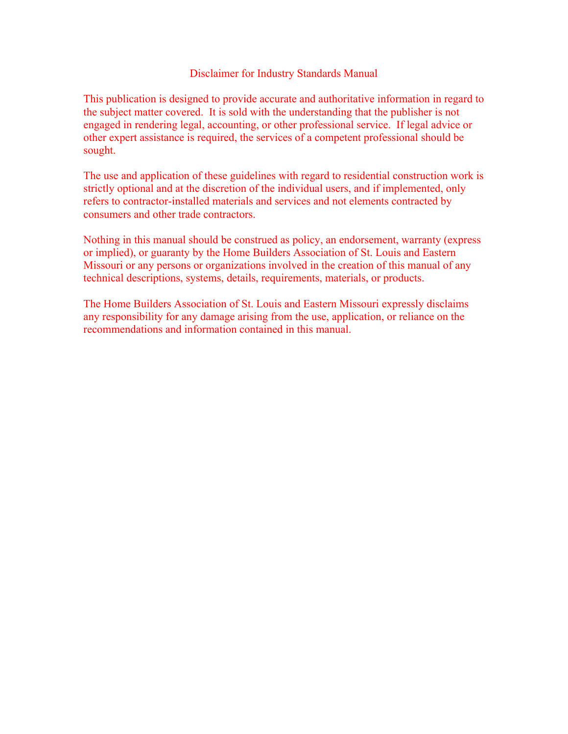#### Disclaimer for Industry Standards Manual

This publication is designed to provide accurate and authoritative information in regard to the subject matter covered. It is sold with the understanding that the publisher is not engaged in rendering legal, accounting, or other professional service. If legal advice or other expert assistance is required, the services of a competent professional should be sought.

The use and application of these guidelines with regard to residential construction work is strictly optional and at the discretion of the individual users, and if implemented, only refers to contractor-installed materials and services and not elements contracted by consumers and other trade contractors.

Nothing in this manual should be construed as policy, an endorsement, warranty (express or implied), or guaranty by the Home Builders Association of St. Louis and Eastern Missouri or any persons or organizations involved in the creation of this manual of any technical descriptions, systems, details, requirements, materials, or products.

The Home Builders Association of St. Louis and Eastern Missouri expressly disclaims any responsibility for any damage arising from the use, application, or reliance on the recommendations and information contained in this manual.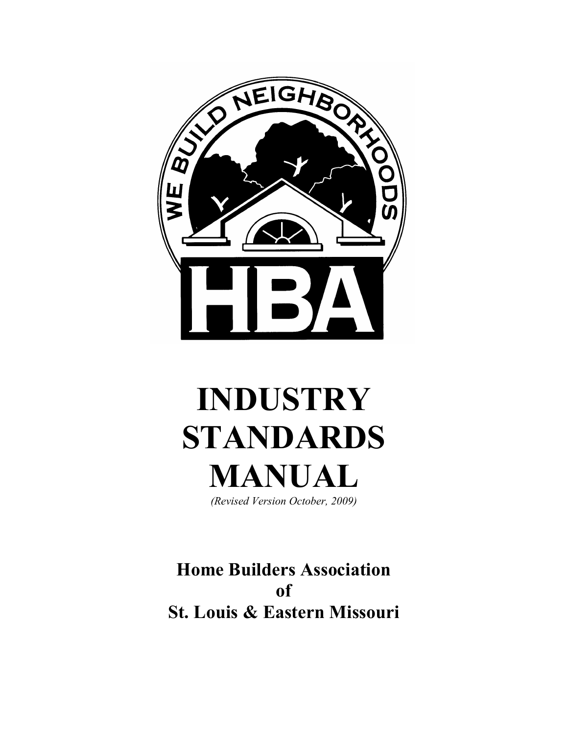

# **INDUSTRY STANDARDS MANUAL**

*(Revised Version October, 2009)* 

**Home Builders Association of St. Louis & Eastern Missouri**